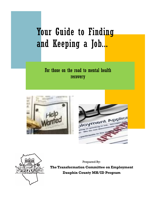# Your Guide to Finding and Keeping a Job...

For those on the road to mental health recovery







Prepared By:

**The Transformation Committee on Employment Dauphin County MH/ID Program**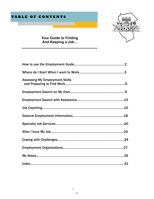

**Your Guide to Finding And Keeping a Job...**

| <b>Assessing My Employment Skills</b> |  |
|---------------------------------------|--|
|                                       |  |
|                                       |  |
|                                       |  |
|                                       |  |
|                                       |  |
|                                       |  |
|                                       |  |
|                                       |  |
|                                       |  |
|                                       |  |

2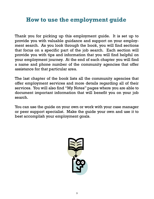# **How to use the employment guide**

Thank you for picking up this employment guide. It is set up to provide you with valuable guidance and support on your employment search. As you look through the book, you will find sections that focus on a specific part of the job search. Each section will provide you with tips and information that you will find helpful on your employment journey. At the end of each chapter you will find a name and phone number of the community agencies that offer assistance for that particular area.

The last chapter of the book lists all the community agencies that offer employment services and more details regarding all of their services. You will also find "My Notes" pages where you are able to document important information that will benefit you on your job search.

You can use the guide on your own or work with your case manager or peer support specialist. Make the guide your own and use it to best accomplish your employment goals.

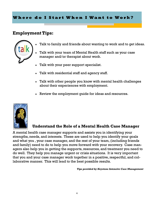# **Employment Tips:**



- Talk to family and friends about wanting to work and to get ideas.
- Talk with your team of Mental Health staff such as your case manager and/or therapist about work.
- Talk with your peer support specialist.
- Talk with residential staff and agency staff.
- Talk with other people you know with mental health challenges about their experiences with employment.
- Review the employment guide for ideas and resources.



# **Understand the Role of a Mental Health Case Manager**

A mental health case manager supports and assists you in identifying your strengths, needs, and interests. These are used to help you identify your goals and what you , your case manager, and the rest of your team, (including friends and family) need to do to help you move forward with your recovery. Case managers also help you in getting the supports, resources, and treatment you need to do well. They help you manage urgent or crisis situations. It is very important that you and your case manager work together in a positive, respectful, and collaborative manner. This will lead to the best possible results.

*Tips provided by Keystone Intensive Case Management*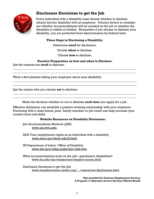

# **Disclosure Decisions to get the Job**

Every individual with a disability must choose whether to disclose (share) his/her disability with an employer. Primary factors to consider are whether accommodations will be needed on the job or whether the disability is visible or hidden. Remember if you choose to disclose your disability, you are protected from discrimination by federal laws.

#### **Three Steps in Disclosing a Disability:**

Determine **need** for disclosure.

Decide **when** to disclose.

Choose **how** to disclose.

#### **Practice Preparation on how and when to Disclose:**

\_\_\_\_\_\_\_\_\_\_\_\_\_\_\_\_\_\_\_\_\_\_\_\_\_\_\_\_\_\_\_\_\_\_\_\_\_\_\_\_\_\_\_\_\_\_\_\_\_\_\_\_\_\_\_\_\_\_\_\_\_\_\_\_\_\_\_\_\_\_\_\_\_\_\_\_\_\_\_\_\_\_ \_\_\_\_\_\_\_\_\_\_\_\_\_\_\_\_\_\_\_\_\_\_\_\_\_\_\_\_\_\_\_\_\_\_\_\_\_\_\_\_\_\_\_\_\_\_\_\_\_\_\_\_\_\_\_\_\_\_\_\_\_\_\_\_\_\_\_\_\_\_\_\_\_\_\_\_\_\_\_\_\_\_

\_\_\_\_\_\_\_\_\_\_\_\_\_\_\_\_\_\_\_\_\_\_\_\_\_\_\_\_\_\_\_\_\_\_\_\_\_\_\_\_\_\_\_\_\_\_\_\_\_\_\_\_\_\_\_\_\_\_\_\_\_\_\_\_\_\_\_\_\_\_\_\_\_\_\_\_\_\_\_\_\_\_ \_\_\_\_\_\_\_\_\_\_\_\_\_\_\_\_\_\_\_\_\_\_\_\_\_\_\_\_\_\_\_\_\_\_\_\_\_\_\_\_\_\_\_\_\_\_\_\_\_\_\_\_\_\_\_\_\_\_\_\_\_\_\_\_\_\_\_\_\_\_\_\_\_\_\_\_\_\_\_\_\_\_

List the reasons you **need** to disclose:

Write a few phrases telling your employer about your disability:

List the reason why you choose **not** to disclose:

Make the decision whether or not to disclose **each time** you apply for a job.

 $\_$  , and the set of the set of the set of the set of the set of the set of the set of the set of the set of the set of the set of the set of the set of the set of the set of the set of the set of the set of the set of th \_\_\_\_\_\_\_\_\_\_\_\_\_\_\_\_\_\_\_\_\_\_\_\_\_\_\_\_\_\_\_\_\_\_\_\_\_\_\_\_\_\_\_\_\_\_\_\_\_\_\_\_\_\_\_\_\_\_\_\_\_\_\_\_\_\_\_\_\_\_\_\_\_\_\_\_\_\_\_\_\_\_

Effective disclosure can establish a positive working relationship with your employer. Practicing with a close friend, peer, family member or job coach can help increase your comfort level and skills.

#### **Website Resources on Disability Disclosure:**

Job Accommodation Network (JAN) www.jan.wvu.edu

ADA Your employment rights as an individual with a disability www.eeoc.gov/facts/ada18.html

US Department of Labor: Office of Disability [www.dol.gov/odep/pubs/fact/ydw.htm](http://www.dol.gov/odep/pubs/fact/ydw.htm)

What accommodations work on the job—psychiatric disabilities? www.bu.edu/cpr/reasaccom/employ-accom.html

Disclosure Decisions to get the Job www.transformation-center.org/…/resources/disclosures.html

> *Tips provided by Gateway Employment Services A Program o f Keystone Service Systems-Mental Health*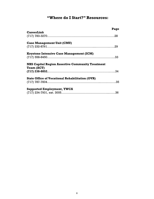# **"Where do I Start?" Resources:**

|                                                                       | Page |
|-----------------------------------------------------------------------|------|
| <b>CareerLink</b>                                                     |      |
| <b>Case Management Unit (CMU)</b>                                     |      |
| <b>Keystone Intensive Case Management (ICM)</b>                       |      |
| <b>NHS Capital Region Assertive Community Treatment</b><br>Team (ACT) |      |
|                                                                       |      |
| <b>State Office of Vocational Rehabilitation (OVR)</b>                |      |
| <b>Supported Employment, YWCA</b>                                     |      |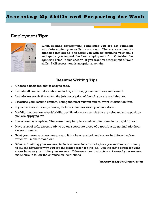#### **A s s e s s i n g M y S k i l l s a n d P r e p a r i n g f o r W o r k**

# Employment Tips:



When seeking employment, sometimes you are not confident with determining your skills on you own. There are community agencies that are able to assist you with determining your skills and guide you toward the best employment fit. Consider the agencies listed in this section if you want an assessment of your skills. Skill assessment is an optional activity.

#### **Resume Writing Tips**

- Choose a basic font that is easy to read.
- Include all contact information including address, phone numbers, and e-mail.
- $\bullet$  Include keywords that match the job description of the job you are applying for.
- Prioritize your resume content, listing the most current and relevant information first.
- If you have no work experience, include volunteer work you have done.
- $\bullet$  Highlight education, special skills, certifications, or awards that are relevant to the position you are applying for.
- Use a resume template. There are many templates online. Find one that is right for you.
- Have a list of references ready to go on a separate piece of paper, but do not include them on your resume.
- Print your resume on resume paper. It is a heavier stock and comes in different colors, which will make it stand out.
- When submitting your resume, include a cover letter which gives you another opportunity to tell the employer why you are the right person for the job. Use the same paper for your cover letter as you did for your resume. If the employer instructs you to email your resume, make sure to follow the submission instructions.

#### *Tips provided by The Jeremy Project*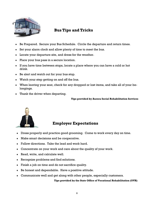

# **Bus Tips and Tricks**

- Be Prepared. Secure your Bus Schedule. Circle the departure and return times.
- Set your alarm clock and allow plenty of time to meet the bus.
- Locate your departure site, and dress for the weather.
- Place your bus pass in a secure location.
- If you have time between stops, locate a place where you can have a cold or hot drink.
- Be alert and watch out for your bus stop.
- Watch your step getting on and off the bus.
- When leaving your seat, check for any dropped or lost items, and take all of your belongings.
- Thank the driver when departing.

**Tips provided by Aurora Social Rehabilitation Services**



# **Employer Expectations**

- Dress properly and practice good grooming. Come to work every day on time.
- Make smart decisions and be cooperative.
- Follow directions. Take the lead and work hard.
- Concentrate on your work and care about the quality of your work.
- Read, write, and calculate well.
- Recognize problems and find solutions.
- Finish a job on time and do not sacrifice quality.
- $\bullet$  Be honest and dependable. Have a positive attitude.
- Communicate well and get along with other people, especially customers.

#### **Tips provided by the State Office of Vocational Rehabilitation (OVR)**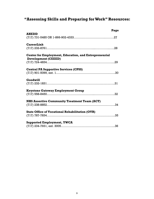# **"Assessing Skills and Preparing for Work" Resources:**

| Page                                                                                       |  |
|--------------------------------------------------------------------------------------------|--|
| <b>AHEDD</b><br>$(717) 731 - 5485 \text{ OR } 1 - 866 - 902 - 4333 \dots$                  |  |
| <b>CareerLink</b>                                                                          |  |
| <b>Center for Employment, Education, and Entrepreneurial</b><br><b>Development (CEEED)</b> |  |
|                                                                                            |  |
| <b>Central PA Supportive Services (CPSS)</b>                                               |  |
| Goodwill                                                                                   |  |
| <b>Keystone Gateway Employment Group</b>                                                   |  |
| <b>NHS Assertive Community Treatment Team (ACT)</b>                                        |  |
| <b>State Office of Vocational Rehabilitation (OVR)</b>                                     |  |
| <b>Supported Employment, YWCA</b>                                                          |  |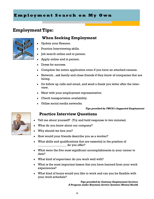# **Employment Tips:**



## **When Seeking Employment**

- Update your Resume.
- Practice Interviewing skills.
- Job search online and in person.
- Apply online and in person.
- Dress for success.
- Complete the entire application even if you have an attached resume.
- Network...ask family and close friends if they know of companies that are hiring.
- Do follow up calls and email, and send a thank you letter after the interview.
- Meet with your employment representative.
- Check transportation availability.
- Utilize social media networks.

#### *Tips provided by YWCA's Supported Employment*

#### **Practice Interview Questions**

- Tell me about yourself? (Try and hold response to two minutes)
- What do you know about our company?
- Why should we hire you?
- How would your friends describe you as a worker?
- What skills and qualifications that are essential in the position of \_\_\_\_\_\_\_\_\_\_\_\_\_\_\_\_\_\_\_ do you offer?
- What were the five most significant accomplishments in your career to date?
- What kind of supervisor do you work well with?
- What is the most important lesson that you have learned from your work experiences?
- What kind of hours would you like to work and can you be flexible with your work schedule?

*Tips provided by Gateway Employment Services A Program under Keystone Service Systems-Mental Health*

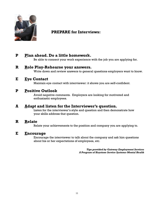

## **PREPARE for Interviews:**

# **P Plan ahead. Do a little homework.**

Be able to connect your work experience with the job you are applying for.

#### **R Role Play-Rehearse your answers.**

Write down and review answers to general questions employers want to know.

#### **E Eye Contact**

Maintain eye contact with interviewer: it shows you are self-confident.

#### **P Positive Outlook**

Avoid negative comments. Employers are looking for motivated and enthusiastic employees.

#### **A Adapt and listen for the Interviewer's question.**

Listen for the interviewer's style and question and then demonstrate how your skills address that question.

#### **R Relate**

Relate your achievements to the position and company you are applying to.

#### **E Encourage**

Encourage the interviewer to talk about the company and ask him questions about his or her expectations of employees, etc.

> *Tips provided by Gateway Employment Services A Program of Keystone Service Systems-Mental Health*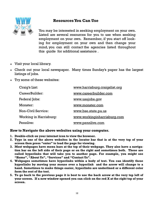## **Resources You Can Use**



You may be interested in seeking employment on your own. Listed are several resources for you to use when seeking employment on your own. Remember, if you start off looking for employment on your own and then change your mind, you can still contact the agencies listed throughout this guide for additional assistance .

- Visit your local library.
- Check out your local newspaper. Many times Sunday's paper has the largest listings of jobs.
- Try some of these websites:

| Craig's List:             | www.harrisburg.craigslist.org |
|---------------------------|-------------------------------|
| CareerBuilder:            | www.careerbuilder.com         |
| Federal Jobs:             | www.usajobs.gov               |
| Monster:                  | www.monster.com               |
| <b>Non-Civil Service:</b> | www.bse.state.pa.us           |
| Working in Harrisburg:    | www.workinginharrisburg.com   |
| Pennlive:                 | www.pennlive.com              |

#### **How to Navigate the above websites using your computer.**

- **1. Double-click on your internet icon to view the browser.**
- **2. Type in one of the above websites in the locator bar that is at the very top of your screen then press "enter" to load the page for viewing.**
- **3. Most webpages have menu bars at the top of their webpage. They also have a navigation bar on the left side of their page or on the right and sometimes both. These are called hyperlinks that will take you to another page. For example, you might see "Home", "About Us", "Services" and "Contact Us".**
- **4. Webpages sometimes have hyperlinks within a body of text. You can identify these hyperlinks by moving your mouse over a hyperlink and the arrow will change to a hand. Sometimes to make things easier, hyperlinks are underlined or a different color form the rest of the text.**
- **5. To go back to the previous page it is best to use the back arrow at the very top left of your screen. If a new window opened you can click on the red X at the right top of your screen.**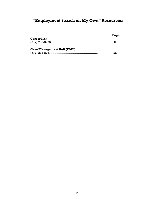# **"Employment Search on My Own" Resources:**

| <b>CareerLink</b>                 | Page |
|-----------------------------------|------|
|                                   |      |
| <b>Case Management Unit (CMU)</b> |      |
|                                   |      |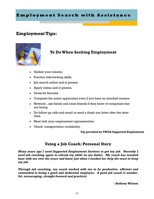# **Employment Tips:**



# **To Do When Seeking Employment**

- Update your resume.
- **Practice interviewing skills.**
- $\bullet$  Job search online and in person.
- Apply online and in person.
- Dress for Success.
- Complete the entire application even if you have an attached resume.
- Network...ask family and close friends if they know of companies that are hiring.
- Do follow up calls and email or send a thank you letter after the interview.
- Meet with your employment representative.
- Check transportation availability.

**Tip provided by YWCA Supported Employment**

## **Using a Job Coach: Personal Story**

*Many years ago I used Supported Employment Services to get my job. Recently I used job coaching again to refresh my skills on my duties. My coach has touched base with me over the years and knew just when I needed her help the most to keep my job.*

*Through job coaching, my coach worked with me to be productive, efficient and committed to being a good and dedicated employee. A good job coach is wonderful, encouraging, straight-forward and practical.*

*- Anthony Watson*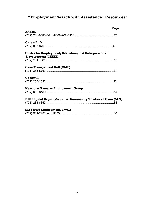# **"Employment Search with Assistance" Resources:**

|                                                                                            | Page |
|--------------------------------------------------------------------------------------------|------|
| <b>AHEDD</b>                                                                               |      |
| <b>CareerLink</b>                                                                          |      |
| <b>Center for Employment, Education, and Entrepreneurial</b><br><b>Development (CEEED)</b> |      |
|                                                                                            |      |
| <b>Case Management Unit (CMU)</b>                                                          |      |
| Goodwill                                                                                   |      |
| <b>Keystone Gateway Employment Group</b>                                                   |      |
| <b>NHS Capital Region Assertive Community Treatment Team (ACT)</b>                         |      |
| <b>Supported Employment, YWCA</b>                                                          |      |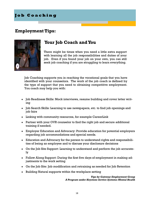## **J o b C o a c h i n g**

## **Employment Tips:**



# **Your Job Coach and You**

There might be times when you need a little extra support with learning all the job responsibilities and duties of your job. Even if you found your job on your own, you can still seek job coaching if you are struggling to learn everything.

Job Coaching supports you in reaching the vocational goals that you have identified with your counselors. The work of the job coach is defined by the type of support that you need to obtaining competitive employment. You coach may help you with:

- Job Readiness Skills: Mock interviews, resume building and cover letter writing
- Job Search Skills: Learning to use newspapers, etc. to find job openings and job fairs
- $\bullet$  Linking with community resources, for example CareerLink
- Partner with your OVR counselor to find the right job and secure additional training if needed.
- Employer Education and Advocacy: Provide education for potential employers regarding job accommodations and special needs.
- Education and Advocacy for the person to understand rights and responsibilities of being an employee and to discuss your disclosure decisions
- On the Job Site Support: Learning to understand and perform the job accurately
- Follow Along Support: During the first five days of employment in making adjustments to the work setting
- On the Job Site: Job modification and retraining as needed for Job Retention
- $\bullet$  Building Natural supports within the workplace setting

*Tips by Gateway Employment Group A Program under Keystone Service Systems-Mental Health*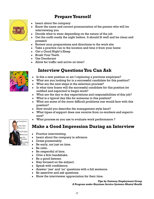# **Prepare Yourself**



- $\bullet$  Learn about the company
- Know the name and correct pronunciation of the person who will be interviewing you
- Decide what to wear depending on the nature of the job
- Get the outfit ready the night before. It should fit well and be clean and pressed
- Review your preparations and directions to the work site
- Take a practice run to the location and time it from your home
- Get a Good Night's Sleep
- Brush Your Teeth
- Use Deodorant
- Allow for traffic and arrive on time!!

# **Interview Questions You Can Ask**

- Is this a new position or am I replacing a previous employee?
- What are you looking for in a successful candidate for this position?
- What are the next steps in the selection process?
- In what time frame will the successful candidate for this position be notified and expected to begin work?
- What are the day to day expectations and responsibilities of this job?
- What is a typical day like for someone in this position?
- What are some of the more difficult problems one would face with this position?
- How would you describe the management style here?
- What types of support does one receive from co-workers and supervisors?
- What process so you use to evaluate work performance ?

# **Make a Good Impression During an Interview**

- Practice interviewing.
- Learn about the company in advance.
- Dress presentably.
- Be early, not just on time.
- Be calm.
- Be respectful of time.
- Give a firm handshake.
- ◆ Be a good listener.
- Stay focused on the subject.
- Speak with confidence.
- Answer 'yes' and 'no' questions with a full sentence.
- Be assertive and ask questions.
- Show the interviewer appreciation for their time.

*Tips by Gateway Employment Group A Program under Keystone Service Systems-Mental Health*

![](_page_16_Picture_38.jpeg)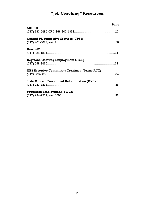# **"Job Coaching" Resources:**

|                                                        | Page |
|--------------------------------------------------------|------|
| <b>AHEDD</b>                                           |      |
| <b>Central PA Supportive Services (CPSS)</b>           |      |
| Goodwill                                               |      |
|                                                        |      |
| <b>Keystone Gateway Employment Group</b>               |      |
| <b>NHS Assertive Community Treatment Team (ACT)</b>    |      |
| <b>State Office of Vocational Rehabilitation (OVR)</b> |      |
| <b>Supported Employment, YWCA</b>                      |      |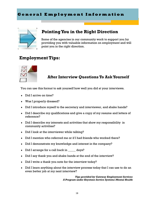## **G e n e r a l E m p l o y m e n t I n f o r m a t i o n**

![](_page_18_Picture_1.jpeg)

# **Pointing You in the Right Direction**

Some of the agencies in our community work to support you by providing you with valuable information on employment and will point you in the right direction.

# **Employment Tips:**

![](_page_18_Picture_5.jpeg)

# **After Interview Questions To Ask Yourself**

You can use this format to ask yourself how well you did at your interviews.

- Did I arrive on time?
- Was I properly dressed?
- Did I introduce myself to the secretary and interviewer, and shake hands?
- Did I describe my qualifications and give a copy of my resume and letters of reference?
- Did I describe my interests and activities that show my responsibility in community activities?
- Did I look at the interviewer while talking?
- Did I mention who referred me or if I had friends who worked there?
- Did I demonstrate my knowledge and interest in the company?
- Did I arrange for a call back in \_\_\_\_\_ days?
- Did I say thank you and shake hands at the end of the interview?
- Did I write a thank you note for the interview today?
- Did I learn anything about the interview process today that I can use to do an even better job at my next interview?

*Tips provided by Gateway Employment Services A Program under Keystone Service Systems-Mental Health*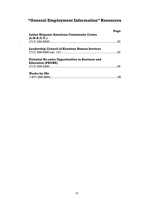# **"General Employment Information" Resources**

| Page |
|------|
|      |
|      |
|      |
|      |
|      |
|      |
|      |
|      |
|      |
| .38  |
|      |

.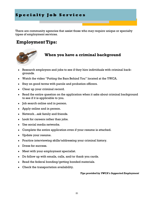# **Specialty Job Services**

There are community agencies that assist those who may require unique or specialty types of employment services.

# **Employment Tips:**

![](_page_20_Picture_3.jpeg)

## **When you have a criminal background**

- Research employers and jobs to see if they hire individuals with criminal backgrounds.
- Watch the video "Putting the Bars Behind You" located at the YWCA.
- Stay on good terms with parole and probation officers.
- Clear up your criminal record.
- Read the entire question on the application when it asks about criminal background to see if it is applicable to you.
- $\bullet$  Job search online and in person.
- Apply online and in person.
- Network...ask family and friends.
- Look for careers rather than jobs.
- Use social media networks.
- Complete the entire application even if your resume is attached.
- Update your resume.
- Practice interviewing skills/addressing your criminal history.
- Dress for success.
- Meet with your employment specialist.
- Do follow up with emails, calls, and/or thank you cards.
- Read the federal bonding/getting bonded materials.
- Check the transportation availability.

*Tips provided by YWCA's Supported Employment*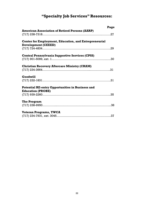# **"Specialty Job Services" Resources:**

|                                                                                            | Page |
|--------------------------------------------------------------------------------------------|------|
| <b>American Association of Retired Persons (AARP)</b>                                      |      |
|                                                                                            |      |
| <b>Center for Employment, Education, and Entrepreneurial</b><br><b>Development (CEEED)</b> |      |
|                                                                                            |      |
| <b>Central Pennsylvania Supportive Services (CPSS)</b>                                     |      |
|                                                                                            |      |
| <b>Christian Recovery Aftercare Ministry (CRAM)</b>                                        |      |
|                                                                                            |      |
| Goodwill                                                                                   |      |
|                                                                                            |      |
| <b>Potential RE-entry Opportunities in Business and</b><br><b>Education (PROBE)</b>        |      |
|                                                                                            |      |
| The Program                                                                                |      |
|                                                                                            |      |
| <b>Veteran Programs, YWCA</b>                                                              |      |
|                                                                                            |      |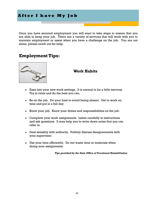# **After I have My Job**

Once you have secured employment you will want to take steps to ensure that you are able to keep your job. There are a variety of services that will work with you to maintain employment or assist when you have a challenge on the job. You are not alone, please reach out for help.

## **Employment Tips:**

![](_page_22_Picture_3.jpeg)

#### **Work Habits**

- Ease into your new work settings. It is normal to be a little nervous. Try to relax and do the best you can.
- Be on the job. Do your best to avoid being absent. Get to work on time and put in a full day.
- Know your job. Know your duties and responsibilities on the job.
- Complete your work assignments. Listen carefully to instructions and ask questions. It may help you to write down notes that you can refer to.
- Deal sensibly with authority. Politely discuss disagreements with your supervisor.
- Use your time efficiently. Do not waste time or materials when doing your assignments.

*Tips provided by the State Office of Vocational Rehabilitation*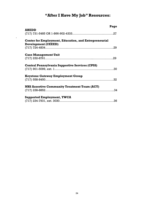# **"After I Have My Job" Resources:**

|                                                              | Page |
|--------------------------------------------------------------|------|
| <b>AHEDD</b>                                                 |      |
|                                                              |      |
| <b>Center for Employment, Education, and Entrepreneurial</b> |      |
| <b>Development (CEEED)</b>                                   |      |
|                                                              |      |
| <b>Case Management Unit</b>                                  |      |
|                                                              |      |
|                                                              |      |
| <b>Central Pennsylvania Supportive Services (CPSS)</b>       |      |
|                                                              |      |
| <b>Keystone Gateway Employment Group</b>                     |      |
|                                                              |      |
|                                                              |      |
| <b>NHS Assertive Community Treatment Team (ACT)</b>          |      |
|                                                              |      |
|                                                              |      |
| <b>Supported Employment, YWCA</b>                            |      |
|                                                              |      |

.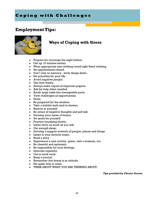# **Coping with Challenges**

# **Employment Tips:**

![](_page_24_Picture_2.jpeg)

## **Ways of Coping with Stress**

- $\bullet$  Prepare for mornings the night before.
- Get up 15 minutes earlier.
- Wear appropriate size clothing/avoid tight fitted clothing.
- Set appointments ahead.
- Don't rely on memory...write things down.
- Set priorities for your life.
- $\triangleleft$  Avoid negative people.
- Use time wisely.
- Always make copies of important papers.
- Ask for help when needed.
- Break large tasks into manageable parts.
- View challenges as opportunities.
- Smile.
- $\bullet$  Be prepared for the weather.
- Take a bubble bath and/or shower.
- Believe in yourself.
- Be aware of negative thoughts and self talk.
- Develop your sense of humor.
- $\bullet$  Set goals for yourself.
- Practice breathing slowly.
- $\bullet$  Listen twice as much as you talk.
- Get enough sleep.
- Develop a support network of people, places and things.
- $\bullet$  Listen to your favorite music.
- $\bullet$  Read a story.
- Experience a new activity, game, visit a museum, etc.
- $\bullet$  Be cheerful and optimistic.
- $\bullet$  Be responsible for your feelings.
- Exercise regularly.
- $\bullet$  Get to work early.
- $\bullet$  Keep a journal.
- Remember that stress is an attitude.
- $\bullet$  Set aside time to relax.
- THINK ABOUT WHAT YOU ARE THINKING ABOUT.

*Tips provided by Chester Greene*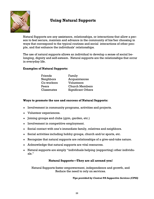![](_page_25_Picture_0.jpeg)

# **Using Natural Supports**

Natural Supports are any assistance, relationships, or interactions that allow a person to feel secure, maintain and advance in the community of his/her choosing in ways that correspond to the typical routines and social interactions of other people, and that enhance the individuals' relationships.

The use of natural supports allows an individual to develop a sense of social belonging, dignity and self-esteem. Natural supports are the relationships that occur in everyday life.

#### **Examples of Natural Supports:**

| Friends    | Family                    |
|------------|---------------------------|
| Neighbors  | Acquaintances             |
| Co-workers | Volunteers                |
| Peers      | <b>Church Members</b>     |
| Classmates | <b>Significant Others</b> |

#### **Ways to promote the use and success of Natural Supports:**

- $\bullet$  Involvement in community programs, activities and projects.
- Volunteer experiences.
- $\bullet$  Joining groups and clubs (gym, garden, etc.)
- $\bullet$  Involvement in competitive employment.
- Social contact with one's immediate family, relatives and neighbors.
- Social activities including hobby groups, church and/or sports, etc.
- Recognize that natural supports are relationships of a give-and-take nature.
- Acknowledge that natural supports are vital resources.
- Natural supports are simply "individuals helping (supporting) other individuals."

#### **Natural Supports—They are all around you!**

Natural Supports foster empowerment, independence and growth, and Reduce the need to rely on services.

*Tips provided by Central PA Supportive Services (CPSS)*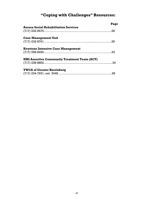# **"Coping with Challenges" Resources:**

|                                                     | Page |
|-----------------------------------------------------|------|
| <b>Aurora Social Rehabilitation Services</b>        |      |
|                                                     |      |
| <b>Case Management Unit</b>                         |      |
|                                                     |      |
| <b>Keystone Intensive Case Management</b>           |      |
|                                                     |      |
| <b>NHS Assertive Community Treatment Team (ACT)</b> |      |
|                                                     |      |
| <b>YWCA of Greater Harrisburg</b>                   |      |
|                                                     |      |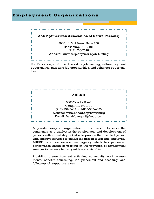#### **E m p l o y m e n t O r g a n i z a t i o n s**

![](_page_27_Picture_1.jpeg)

For Persons age 50+. Will assist in job hunting, self-employment opportunities, part-time job opportunities, and volunteer opportunities.

![](_page_27_Picture_3.jpeg)

A private non-profit organization with a mission to serve the community as a catalyst in the employment and development of persons with a disability. Goal is to provide the disabled person with effective services to enable the person to become employed. AHEDD is an outcome-focused agency which has pioneered performance based contracting in the provision of employment services to increase industry-wide accountability.

Providing pre-employment activities, community work assessments, benefits counseling, job placement and coaching, and follow-up job support services.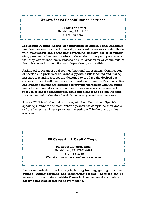#### **Aurora Social Rehabilitation Services**

401 Division Street Harrisburg, PA 17110 (717) 232-6657

**Individual Mental Health Rehabilitation** at Aurora Social Rehabilitation Services are designed to assist persons with a serious mental illness with maintaining and enhancing psychiatric stability, social competencies, personal adjustment and/or independent living competencies so that they experience more success and satisfaction in environments of their choice and can function as independently as possible.

A planned program of goal setting, functional assessment, identification of needed and preferred skills and supports, skills teaching and managing supports and resources are designed to produce the desired outcomes consistent with the person's cultural environments. Psychiatric Rehabilitation activities are designed to provide the person with the opportunity to become informed about their illness, assess what is needed to recover, to choose rehabilitation goals and plan for and obtain the experiences needed to develop the skills necessary to achieve recovery.

Aurora IMHR is a bi-lingual program, with both English and Spanish speaking members and staff. When a person has completed their goals or "graduates", an interagency team meeting will be held to do a final assessment.

![](_page_28_Picture_5.jpeg)

Assists individuals in finding a job, finding training, getting vocational training, writing resumes, and researching careers. Services can be accessed on computers outside CareerLink on personal computers or library computers accessing above website.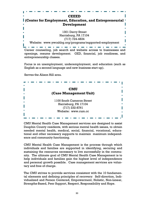## **CEEED (Center for Employment, Education, and Entrepreneurial Development** 1301 Derry Street Harrisburg, PA 17104 (717) 724-4834 Website: www.ywcahbg.org/programs/supported-employment. . . . . . Career counseling, job search and website access to businesses and openings, resume development. GED, financial, job readiness, and

Focus is on unemployment, underemployment, and education (such as English as a second language and new business start-up).

Serves the Alison Hill area.

entrepreneurship classes.

| <b>CMU</b>                |  |
|---------------------------|--|
| (Case Management Unit)    |  |
|                           |  |
| 1100 South Cameron Street |  |
| Harrisburg, PA 17104      |  |
| $(717) 232 - 8761$        |  |
| Website: www.cum.cc       |  |
|                           |  |

CMU Mental Health Case Management services are designed to assist Dauphin County residents, with serious mental health issues, to obtain needed mental health, medical, social, financial, vocational, educational and other necessary supports to maintain maximum independence and community functioning.

CMU Mental Health Case Management is the process through which individuals and families are supported in identifying, securing and sustaining the resources necessary to live successfully in the community. The ultimate goal of CMU Mental Health Case Management is to help individuals and families gain the highest level of independence and personal growth possible. Case management services are voluntary and free of charge.

The CMU strives to provide services consistent with the 10 fundamental elements and defining principles of recovery: Self-direction, Individualized and Person Centered, Empowerment, Holistic, Non-Linear, Strengths-Based, Peer Support, Respect, Responsibility and Hope.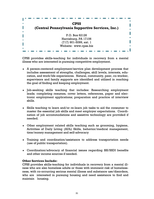| п<br>ш | <b>CPSS</b><br>(Central Pennsylvania Supportive Services, Inc.) |
|--------|-----------------------------------------------------------------|
|        | P.O. Box 62126                                                  |
| п      | Harrisburg, PA 17106                                            |
|        | (717) 901-5099, ext. 1<br>Website: www.cpss.biz                 |
| ш      |                                                                 |

CPSS provides skills-teaching for individuals in recovery from a mental illness who are interested in pursuing competitive employment.

- A person-centered employment/service plan development process that includes assessment of strengths, challenges, skill levels, interests, education, and work/life experiences. Natural, community, peer, co-worker, supervisors and family supports are identified and utilized in reaching the goal of finding and keeping employment.
- Job-seeking skills teaching that includes: Researching employment leads; completing resumes, cover letters, references, paper and electronic employment applications; preparation and practice of interview skills.
- Skills teaching to learn and/or re-learn job tasks to aid the consumer to master the essential job skills and meet employer expectations. Coordination of job accommodations and assistive technology are provided if needed.
- Other employment related skills teaching such as grooming, hygiene, Activities of Daily Living (ADL) Skills, behavior/medical management, time/money management and self-advocacy
- Training and coordination/assistance to address transportation needs (use of public transportation).
- Coordination/advocacy of financial issues regarding SSI/SSDI benefits and other income sources if needed.

#### **Other Services Include:**

CPSS provides skills-teaching for individuals in recovery from a mental illness who are also homeless adults or those with imminent risk of homelessness, with co-occurring serious mental illness and substance use/disorders, who are interested in pursuing housing and need assistance to find and maintain housing.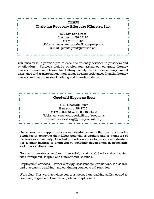![](_page_31_Picture_0.jpeg)

Our mission is to provide pre-release and re-entry services to prisoners and ex-offenders. Services include employment assistance, computer literacy classes, orientation classes for halfway facility, work release employment assistance and transportation, mentoring, housing assistance, financial literacy classes, and the provision of clothing and household items.

![](_page_31_Picture_2.jpeg)

Our mission is to support persons with disabilities and other barriers to independence in achieving their fullest potential as workers and as members of the broader community. Goodwill provides services to persons with disabilities & other barriers to employment, including developmental, psychiatric and physical disabilities.

Goodwill operates a number of custodial, retail, and food service training sites throughout Dauphin and Cumberland Counties.

Employment services: Career strategy, assessments, evaluations, job search and placement, coaching, and continuing contact to aid retention.

Workplus: This work activities center is focused on teaching skills needed to continue progression toward competitive employment.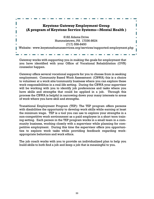## **Keystone Gateway Employment Group (A program of Keystone Service Systems—Mental Health )**

8182 Adams Drive Hummelstown, PA 17036-8624 (717) 558-8450

Website: www.keystonehumanservices.org/services/supported-employment.php

Gateway works with supporting you in making the goals for employment that you have identified with your Office of Vocational Rehabilitation (OVR) counselor happen.

Gateway offers several vocational supports for you to choose from in seeking employment; Community Based Work Assessment: (CBWA) this is a choice to volunteer at a work site/community business where you can explore these work responsibilities in a real-life setting. During the CBWA your supervisor will be working with you to identify job preferences and tasks where you have skills and strengths that could be applied in a job. Through this process the CBWA is helpful in narrowing down your many interests to areas of work where you have skill and strengths.

Transitional Employment Program (TEP): The TEP program offers persons with disabilities the opportunity to develop work skills while earning at least the minimum wage. TEP is a tool you can use to explore your strengths in a non-competitive work environment as a paid employee in a short term training setting. Each person in the TEP program works in a small team in a community business, working closely with a supervisor while planning for competitive employment. During this time the supervisor offers you opportunities to explore work tasks while providing feedback regarding workappropriate behaviors and work ethics.

The job coach works with you to provide an individualized plan to help you build skills to both find a job and keep a job that is meaningful to you.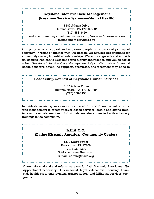![](_page_33_Picture_0.jpeg)

Our purpose is to support and empower people on a personal journey of recovery. Working together with the person, we explore opportunities for community-based, hope-filled relationships. We support growth and individual choices that lead to lives filled with dignity and respect, and valued social roles. Keystone Intensive Case Management helps individuals with mental health concerns obtain the supports, resources, and treatment they need to

| <b>Leadership Council of Keystone Human Services</b> |
|------------------------------------------------------|
|                                                      |
| 8182 Adams Drive                                     |
| Hummelstown, PA 17036-8624                           |
| $(717)$ 558-8450                                     |
|                                                      |

Individuals receiving services or graduated from KHS are invited to work with management to create recover-based services, create and attend trainings and evaluate services. Individuals are also connected with advocacy trainings in the community.

| L.H.A.C.C.<br>(Latino Hispanic American Community Center) |
|-----------------------------------------------------------|
| 1319 Derry Street                                         |
| Harrisburg, PA 17106                                      |
| $(717)$ 232-8300                                          |
| Website: www.lhacc.org                                    |
| E-mail: admin@lhacc.org                                   |

Offers informational and referral services for Latin Hispanic Americans. No Appointment necessary. Offers social, legal, educational, housing, financial, health care, employment, transportation, and bilingual services programs.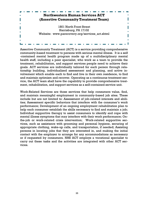# **Northwestern Human Services ACT (Assertive Community Treatment Team)** 1801 North Front Street Harrisburg, PA 17102 Website: www.parecovery.org/services\_act.shtml

Assertive Community Treatment (ACT) is a service providing comprehensive community-based treatment to persons with serious mental illness. It is a self -contained mental health program made up of a multidisciplinary mental health staff, including a peer specialist, who work as a team to provide the treatment, rehabilitation, and support services people need to achieve their goals. ACT services are individually tailored for each person through relationship building, individualized assessment and planning, and active involvement which enable each to find and live in their own residence, to find and maintain optimism and recover. Operating as a continuous treatment service, the ACT team shall have the capability to provide comprehensive treatment, rehabilitation, and support services as a self-contained service unit.

Work-Related Services are those services that help consumers value, find, and maintain meaningful employment in community-based job sites. These include but are not limited to: Assessment of job-related interests and abilities; Assessment specific behaviors that interfere with the consumer's work performance; Development of an ongoing employment rehabilitation plan to help each consumer establish the skills necessary to find and maintain a job; Individual supportive therapy to assist consumers to identify and cope with mental illness symptoms that may interfere with their work performance; Onthe-job or work-related crisis intervention; Work-related supportive services, such as assistance with grooming and personal hygiene, securing of appropriate clothing, wake-up calls, and transportation, if needed; Assisting persons in locating jobs that they are interested in, and making the initial contact with the employer to arrange for any accommodations as necessary or if requested by consumers. NHS ACT employs a vocational specialist to carry out these tasks and the activities are integrated with other ACT services.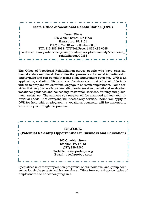![](_page_35_Picture_0.jpeg)

The Office of Vocational Rehabilitation serves people who have physical, mental and/or emotional disabilities that present a substantial impediment to employment and can benefit in terms of an employment outcome. OVR is an application, and eligibility program. Services are provided to eligible individuals to prepare for, enter into, engage in or retain employment. Some services that may be available are: diagnostic services, vocational evaluation, vocational guidance and counseling, restoration services, training and placement assistance. The services you receive will be arranged to meet your individual needs. Not everyone will need every service. When you apply to OVR for help with employment, a vocational counselor will be assigned to work with you through this process.

![](_page_35_Picture_2.jpeg)

Specializes in career preparation programs, offers individual and group counseling for single parents and homemakers. Offers free workshops on topics of employment and education programs.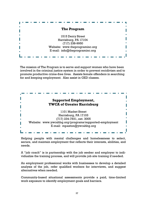|  |  |  | The Program                    |  |  |  |  |  |
|--|--|--|--------------------------------|--|--|--|--|--|
|  |  |  |                                |  |  |  |  |  |
|  |  |  | 1515 Derry Street              |  |  |  |  |  |
|  |  |  | Harrisburg, PA 17104           |  |  |  |  |  |
|  |  |  | $(717)$ 238-9950               |  |  |  |  |  |
|  |  |  | Website: www.theprograminc.org |  |  |  |  |  |
|  |  |  | E-mail: info@theprograminc.org |  |  |  |  |  |
|  |  |  |                                |  |  |  |  |  |
|  |  |  |                                |  |  |  |  |  |

The mission of The Program is to serve and support women who have been involved in the criminal justice system in order to prevent recidivism and to promote productive crime-free lives. Assists female offenders in searching for and keeping employment. Also assist in GED classes.

![](_page_36_Picture_2.jpeg)

Helping people with mental challenges and homelessness to select, secure, and maintain employment that reflects their interests, abilities, and needs.

A "job coach" is in partnership with the job seeker and employer to individualize the training process, and will provide job site training if needed.

An employment professional works with businesses to develop a detailed analysis of the job, refer qualified workers for interviews, and suggest alternatives when needed.

Community-based situational assessments provide a paid, time-limited work exposure to identify employment goals and barriers.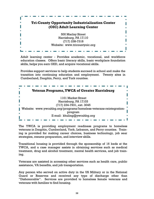# **Tri-County Opportunity Industrialization Center (OIC) Adult Learning Center** 500 Maclay Street Harrisburg, PA 17110 (717) 238-7318 Website: www.tricountyoic.org

Adult learning center - Provides academic, vocational, and workforce education classes. Offers basic literacy skills, basic workplace foundation skills, helps you earn GED, and acquire vocational skills.

Provides support services to help students succeed in school and make the transition into continuing education and employment. Twenty sites in Cumberland, Dauphin, Perry, and York counties.

![](_page_37_Picture_3.jpeg)

The YWCA is providing employment readiness programs to homeless veterans in Dauphin, Cumberland, York, Lebanon, and Perry counties. Training is provided for making career choices, business technology, job sear strategies, resume preparation, and interview skills.

Transitional housing is provided through the sponsorship of 16 beds at the YWCA, and a case manager assists in obtaining services such as medical treatment, drug and alcohol treatment, mental health services, and job training.

Veterans are assisted in accessing other services such as health care, public assistance, VA benefits, and job transportation.

Any person who served on active duty in the US Military or in the National Guard or Reserves and received any type of discharge other than "Dishonorable". Services are provided to homeless female veterans and veterans with families to find housing.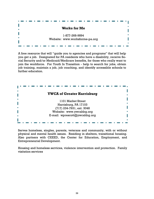![](_page_38_Picture_0.jpeg)

A free resource that will "guide you to agencies and programs" that will help you get a job. Designated for PA residents who have a disability, receive Social Security and/or Medicaid/Medicare benefits, for those who really want to join the workforce. For Youth In Transition - help to search for jobs, obtain job training, maintain a job, job coaching, and identify accessible schools to further education.

![](_page_38_Picture_2.jpeg)

Serves homeless, singles, parents, veterans and community, with or without physical and mental health issues. Residing in shelters, transitional housing. Also partners with CEEED, the Center for Education, Employment, and Entrepreneurial Development.

Housing and homeless services, violence intervention and protection. Family visitation services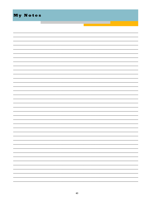| My Notes |  |
|----------|--|
|          |  |
|          |  |
|          |  |
|          |  |
|          |  |
|          |  |
|          |  |
|          |  |
|          |  |
|          |  |
|          |  |
|          |  |
|          |  |
|          |  |
|          |  |
|          |  |
|          |  |
|          |  |
|          |  |
|          |  |
|          |  |
|          |  |
|          |  |
|          |  |
|          |  |
|          |  |
|          |  |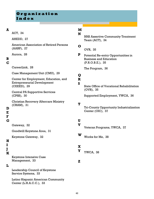# **O r g a n i z a t i o n I n d e x**

#### **A**

ACT, 34

#### AHEDD, 27

American Association of Retired Persons (AARP), 27

Aurora, 28

## **B**

#### **C**

CareerLink, 28

Case Management Unit (CMU), 29

Center for Employment, Education, and Entrepreneurial Development (CEEED), 29

Central PA Supportive Services (CPSS), 30

Christian Recovery Aftercare Ministry (CRAM), 31

#### **D E**

**F**

#### **G**

Gateway, 32

Goodwill Keystone Area, 31

Keystone Gateway, 32

# **H I**

**J K**

> Keystone Intensive Case Management, 33

#### **L**

Leadership Council of Keystone Service Systems, 33

Latino Hispanic American Community Center (L.H.A.C.C.), 33

#### **M N**

NHS Assertive Community Treatment Team (ACT), 34

#### **O**

OVR, 35

Potential Re-entry Opportunities in Business and Education (P.R.O.B.E.), 35 **P**

The Program, 36

#### **Q R**

#### **S**

State Office of Vocational Rehabilitation (OVR), 35

Supported Employment, YWCA, 36

#### **T**

Tri-County Opportunity Industrialization Center (OIC), 37

#### **U V**

Veteran Programs, YWCA, 37

Works for Me, 38

#### **X**

**W**

YWCA, 38 **Y**

#### **Z**